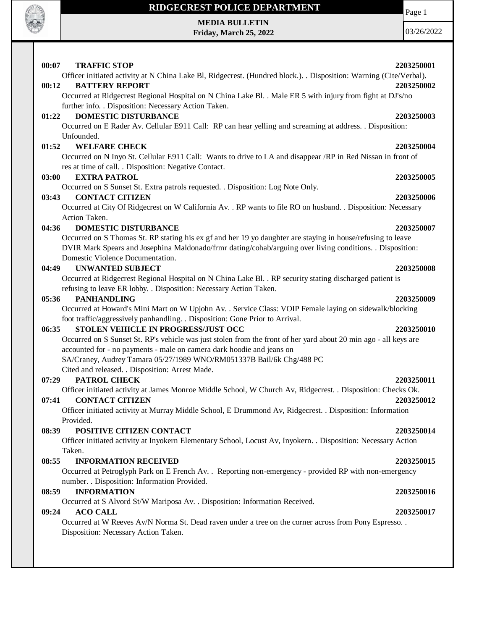

### **MEDIA BULLETIN Friday, March 25, 2022**

03/26/2022

Page 1

### **00:07 TRAFFIC STOP 2203250001** Officer initiated activity at N China Lake Bl, Ridgecrest. (Hundred block.). . Disposition: Warning (Cite/Verbal). **00:12 BATTERY REPORT 2203250002** Occurred at Ridgecrest Regional Hospital on N China Lake Bl. . Male ER 5 with injury from fight at DJ's/no further info. . Disposition: Necessary Action Taken. **01:22 DOMESTIC DISTURBANCE 2203250003** Occurred on E Rader Av. Cellular E911 Call: RP can hear yelling and screaming at address. . Disposition: Unfounded. **01:52 WELFARE CHECK 2203250004** Occurred on N Inyo St. Cellular E911 Call: Wants to drive to LA and disappear /RP in Red Nissan in front of res at time of call. . Disposition: Negative Contact. **03:00 EXTRA PATROL 2203250005** Occurred on S Sunset St. Extra patrols requested. . Disposition: Log Note Only. **03:43 CONTACT CITIZEN 2203250006** Occurred at City Of Ridgecrest on W California Av. . RP wants to file RO on husband. . Disposition: Necessary Action Taken. **04:36 DOMESTIC DISTURBANCE 2203250007** Occurred on S Thomas St. RP stating his ex gf and her 19 yo daughter are staying in house/refusing to leave DVIR Mark Spears and Josephina Maldonado/frmr dating/cohab/arguing over living conditions. . Disposition: Domestic Violence Documentation. **04:49 UNWANTED SUBJECT 2203250008** Occurred at Ridgecrest Regional Hospital on N China Lake Bl. . RP security stating discharged patient is refusing to leave ER lobby. . Disposition: Necessary Action Taken. **05:36 PANHANDLING 2203250009** Occurred at Howard's Mini Mart on W Upjohn Av. . Service Class: VOIP Female laying on sidewalk/blocking foot traffic/aggressively panhandling. . Disposition: Gone Prior to Arrival. **06:35 STOLEN VEHICLE IN PROGRESS/JUST OCC 2203250010** Occurred on S Sunset St. RP's vehicle was just stolen from the front of her yard about 20 min ago - all keys are accounted for - no payments - male on camera dark hoodie and jeans on SA/Craney, Audrey Tamara 05/27/1989 WNO/RM051337B Bail/6k Chg/488 PC Cited and released. . Disposition: Arrest Made. **07:29 PATROL CHECK 2203250011** Officer initiated activity at James Monroe Middle School, W Church Av, Ridgecrest. . Disposition: Checks Ok. **07:41 CONTACT CITIZEN 2203250012** Officer initiated activity at Murray Middle School, E Drummond Av, Ridgecrest. . Disposition: Information Provided. **08:39 POSITIVE CITIZEN CONTACT 2203250014** Officer initiated activity at Inyokern Elementary School, Locust Av, Inyokern. . Disposition: Necessary Action Taken. **08:55 INFORMATION RECEIVED 2203250015** Occurred at Petroglyph Park on E French Av. . Reporting non-emergency - provided RP with non-emergency number. . Disposition: Information Provided. **08:59 INFORMATION 2203250016** Occurred at S Alvord St/W Mariposa Av. . Disposition: Information Received. **09:24 ACO CALL 2203250017** Occurred at W Reeves Av/N Norma St. Dead raven under a tree on the corner across from Pony Espresso. . Disposition: Necessary Action Taken.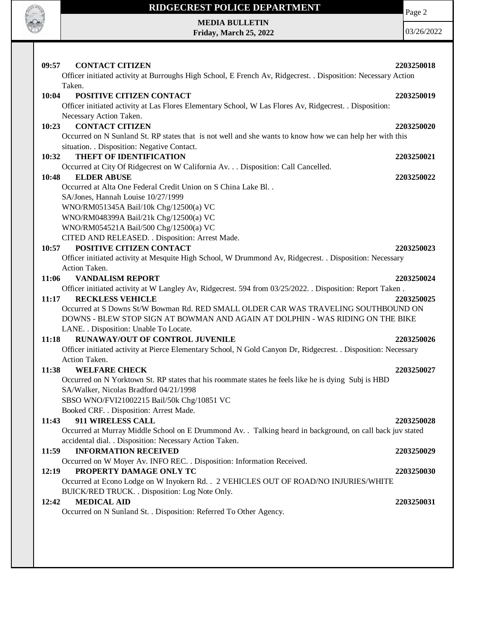

# **RIDGECREST POLICE DEPARTMENT MEDIA BULLETIN**

**Friday, March 25, 2022**

Page 2

| 09:57<br><b>CONTACT CITIZEN</b>                                                                                | 2203250018 |
|----------------------------------------------------------------------------------------------------------------|------------|
| Officer initiated activity at Burroughs High School, E French Av, Ridgecrest. . Disposition: Necessary Action  |            |
| Taken.                                                                                                         |            |
| 10:04<br>POSITIVE CITIZEN CONTACT                                                                              | 2203250019 |
| Officer initiated activity at Las Flores Elementary School, W Las Flores Av, Ridgecrest. . Disposition:        |            |
| Necessary Action Taken.                                                                                        |            |
| <b>CONTACT CITIZEN</b><br>10:23                                                                                | 2203250020 |
| Occurred on N Sunland St. RP states that is not well and she wants to know how we can help her with this       |            |
| situation. . Disposition: Negative Contact.                                                                    |            |
| THEFT OF IDENTIFICATION<br>10:32                                                                               | 2203250021 |
| Occurred at City Of Ridgecrest on W California Av. Disposition: Call Cancelled.                                |            |
| <b>ELDER ABUSE</b><br>10:48                                                                                    | 2203250022 |
| Occurred at Alta One Federal Credit Union on S China Lake Bl. .                                                |            |
| SA/Jones, Hannah Louise 10/27/1999                                                                             |            |
| WNO/RM051345A Bail/10k Chg/12500(a) VC                                                                         |            |
| WNO/RM048399A Bail/21k Chg/12500(a) VC                                                                         |            |
| WNO/RM054521A Bail/500 Chg/12500(a) VC                                                                         |            |
| CITED AND RELEASED. . Disposition: Arrest Made.                                                                |            |
| POSITIVE CITIZEN CONTACT<br>10:57                                                                              | 2203250023 |
| Officer initiated activity at Mesquite High School, W Drummond Av, Ridgecrest. . Disposition: Necessary        |            |
| Action Taken.                                                                                                  |            |
| 11:06<br><b>VANDALISM REPORT</b>                                                                               | 2203250024 |
| Officer initiated activity at W Langley Av, Ridgecrest. 594 from 03/25/2022. Disposition: Report Taken.        |            |
| 11:17<br><b>RECKLESS VEHICLE</b>                                                                               | 2203250025 |
| Occurred at S Downs St/W Bowman Rd. RED SMALL OLDER CAR WAS TRAVELING SOUTHBOUND ON                            |            |
| DOWNS - BLEW STOP SIGN AT BOWMAN AND AGAIN AT DOLPHIN - WAS RIDING ON THE BIKE                                 |            |
| LANE. . Disposition: Unable To Locate.                                                                         |            |
| RUNAWAY/OUT OF CONTROL JUVENILE<br>11:18                                                                       | 2203250026 |
| Officer initiated activity at Pierce Elementary School, N Gold Canyon Dr, Ridgecrest. . Disposition: Necessary |            |
| Action Taken.                                                                                                  |            |
| 11:38<br><b>WELFARE CHECK</b>                                                                                  | 2203250027 |
| Occurred on N Yorktown St. RP states that his roommate states he feels like he is dying Subj is HBD            |            |
| SA/Walker, Nicolas Bradford 04/21/1998                                                                         |            |
| SBSO WNO/FVI21002215 Bail/50k Chg/10851 VC                                                                     |            |
| Booked CRF. . Disposition: Arrest Made.                                                                        |            |
| 911 WIRELESS CALL<br>11:43                                                                                     | 2203250028 |
| Occurred at Murray Middle School on E Drummond Av. . Talking heard in background, on call back juv stated      |            |
| accidental dial. . Disposition: Necessary Action Taken.                                                        |            |
| <b>INFORMATION RECEIVED</b><br>11:59                                                                           | 2203250029 |
| Occurred on W Moyer Av. INFO REC. . Disposition: Information Received.                                         |            |
| PROPERTY DAMAGE ONLY TC<br>12:19                                                                               | 2203250030 |
| Occurred at Econo Lodge on W Inyokern Rd. . 2 VEHICLES OUT OF ROAD/NO INJURIES/WHITE                           |            |
| BUICK/RED TRUCK. . Disposition: Log Note Only.                                                                 |            |
| <b>MEDICAL AID</b><br>12:42                                                                                    | 2203250031 |
| Occurred on N Sunland St. . Disposition: Referred To Other Agency.                                             |            |
|                                                                                                                |            |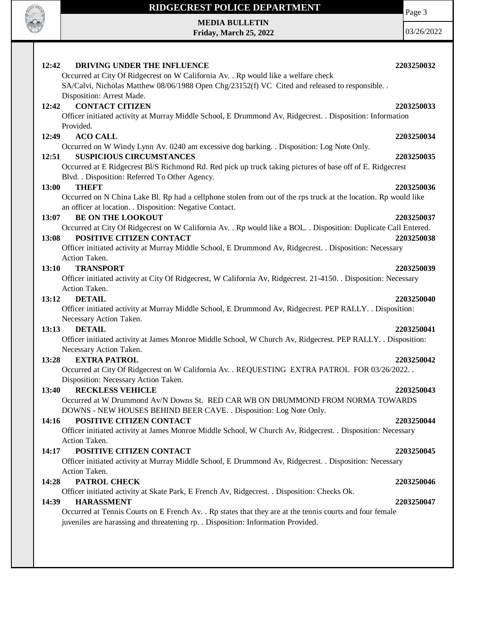

# **RIDGECREST POLICE DEPARTMENT MEDIA BULLETIN**

**Friday, March 25, 2022**

Page 3

| DRIVING UNDER THE INFLUENCE<br>12:42                                                                                                   | 2203250032 |
|----------------------------------------------------------------------------------------------------------------------------------------|------------|
| Occurred at City Of Ridgecrest on W California Av. . Rp would like a welfare check                                                     |            |
| SA/Calvi, Nicholas Matthew 08/06/1988 Open Chg/23152(f) VC Cited and released to responsible. .                                        |            |
| Disposition: Arrest Made.                                                                                                              |            |
| <b>CONTACT CITIZEN</b><br>12:42                                                                                                        | 2203250033 |
| Officer initiated activity at Murray Middle School, E Drummond Av, Ridgecrest. . Disposition: Information                              |            |
| Provided.                                                                                                                              |            |
| <b>ACO CALL</b><br>12:49                                                                                                               | 2203250034 |
| Occurred on W Windy Lynn Av. 0240 am excessive dog barking. . Disposition: Log Note Only.                                              |            |
| <b>SUSPICIOUS CIRCUMSTANCES</b><br>12:51                                                                                               | 2203250035 |
| Occurred at E Ridgecrest Bl/S Richmond Rd. Red pick up truck taking pictures of base off of E. Ridgecrest                              |            |
| Blvd. . Disposition: Referred To Other Agency.                                                                                         |            |
| <b>THEFT</b><br>13:00                                                                                                                  | 2203250036 |
| Occurred on N China Lake Bl. Rp had a cellphone stolen from out of the rps truck at the location. Rp would like                        |            |
| an officer at location. . Disposition: Negative Contact.                                                                               |            |
| <b>BE ON THE LOOKOUT</b><br>13:07                                                                                                      | 2203250037 |
| Occurred at City Of Ridgecrest on W California Av. . Rp would like a BOL. . Disposition: Duplicate Call Entered.                       |            |
| POSITIVE CITIZEN CONTACT<br>13:08                                                                                                      | 2203250038 |
| Officer initiated activity at Murray Middle School, E Drummond Av, Ridgecrest. . Disposition: Necessary                                |            |
| Action Taken.                                                                                                                          |            |
| 13:10<br><b>TRANSPORT</b>                                                                                                              | 2203250039 |
| Officer initiated activity at City Of Ridgecrest, W California Av, Ridgecrest. 21-4150. . Disposition: Necessary                       |            |
| Action Taken.                                                                                                                          |            |
| <b>DETAIL</b><br>13:12                                                                                                                 | 2203250040 |
| Officer initiated activity at Murray Middle School, E Drummond Av, Ridgecrest. PEP RALLY. . Disposition:                               |            |
| Necessary Action Taken.                                                                                                                |            |
| <b>DETAIL</b><br>13:13                                                                                                                 | 2203250041 |
| Officer initiated activity at James Monroe Middle School, W Church Av, Ridgecrest. PEP RALLY. . Disposition:                           |            |
| Necessary Action Taken.<br><b>EXTRA PATROL</b>                                                                                         |            |
| 13:28                                                                                                                                  | 2203250042 |
| Occurred at City Of Ridgecrest on W California Av. . REQUESTING EXTRA PATROL FOR 03/26/2022. .<br>Disposition: Necessary Action Taken. |            |
| <b>RECKLESS VEHICLE</b><br>13:40                                                                                                       | 2203250043 |
| Occurred at W Drummond Av/N Downs St. RED CAR WB ON DRUMMOND FROM NORMA TOWARDS                                                        |            |
| DOWNS - NEW HOUSES BEHIND BEER CAVE. . Disposition: Log Note Only.                                                                     |            |
| POSITIVE CITIZEN CONTACT<br>14:16                                                                                                      | 2203250044 |
| Officer initiated activity at James Monroe Middle School, W Church Av, Ridgecrest. . Disposition: Necessary                            |            |
| Action Taken.                                                                                                                          |            |
| POSITIVE CITIZEN CONTACT<br>14:17                                                                                                      | 2203250045 |
| Officer initiated activity at Murray Middle School, E Drummond Av, Ridgecrest. . Disposition: Necessary                                |            |
| Action Taken.                                                                                                                          |            |
| PATROL CHECK<br>14:28                                                                                                                  | 2203250046 |
| Officer initiated activity at Skate Park, E French Av, Ridgecrest. . Disposition: Checks Ok.                                           |            |
| <b>HARASSMENT</b><br>14:39                                                                                                             | 2203250047 |
| Occurred at Tennis Courts on E French Av. . Rp states that they are at the tennis courts and four female                               |            |
| juveniles are harassing and threatening rp. . Disposition: Information Provided.                                                       |            |
|                                                                                                                                        |            |
|                                                                                                                                        |            |
|                                                                                                                                        |            |
|                                                                                                                                        |            |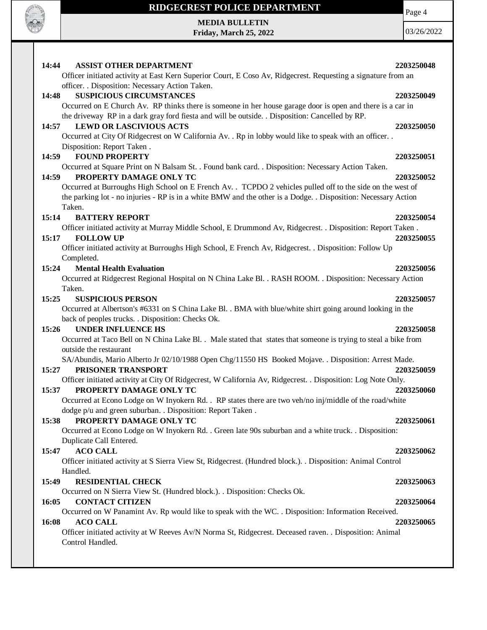

 $\mathbf{I}$ 

## **RIDGECREST POLICE DEPARTMENT**

**MEDIA BULLETIN Friday, March 25, 2022**

03/26/2022

Page 4

| 14:44<br><b>ASSIST OTHER DEPARTMENT</b><br>Officer initiated activity at East Kern Superior Court, E Coso Av, Ridgecrest. Requesting a signature from an                                                                                                                                                                                                            | 2203250048 |
|---------------------------------------------------------------------------------------------------------------------------------------------------------------------------------------------------------------------------------------------------------------------------------------------------------------------------------------------------------------------|------------|
| officer. . Disposition: Necessary Action Taken.<br><b>SUSPICIOUS CIRCUMSTANCES</b><br>14:48                                                                                                                                                                                                                                                                         | 2203250049 |
| Occurred on E Church Av. RP thinks there is someone in her house garage door is open and there is a car in<br>the driveway RP in a dark gray ford fiesta and will be outside. . Disposition: Cancelled by RP.<br><b>LEWD OR LASCIVIOUS ACTS</b><br>14:57<br>Occurred at City Of Ridgecrest on W California Av. . Rp in lobby would like to speak with an officer. . | 2203250050 |
| Disposition: Report Taken.<br>14:59<br><b>FOUND PROPERTY</b><br>Occurred at Square Print on N Balsam St. . Found bank card. . Disposition: Necessary Action Taken.                                                                                                                                                                                                  | 2203250051 |
| 14:59<br>PROPERTY DAMAGE ONLY TC<br>Occurred at Burroughs High School on E French Av. . TCPDO 2 vehicles pulled off to the side on the west of<br>the parking lot - no injuries - RP is in a white BMW and the other is a Dodge. . Disposition: Necessary Action<br>Taken.                                                                                          | 2203250052 |
| 15:14<br><b>BATTERY REPORT</b>                                                                                                                                                                                                                                                                                                                                      | 2203250054 |
| Officer initiated activity at Murray Middle School, E Drummond Av, Ridgecrest. . Disposition: Report Taken.<br><b>FOLLOW UP</b><br>15:17                                                                                                                                                                                                                            | 2203250055 |
| Officer initiated activity at Burroughs High School, E French Av, Ridgecrest. . Disposition: Follow Up<br>Completed.                                                                                                                                                                                                                                                |            |
| 15:24<br><b>Mental Health Evaluation</b><br>Occurred at Ridgecrest Regional Hospital on N China Lake Bl. . RASH ROOM. . Disposition: Necessary Action<br>Taken.                                                                                                                                                                                                     | 2203250056 |
| <b>SUSPICIOUS PERSON</b><br>15:25<br>Occurred at Albertson's #6331 on S China Lake Bl. . BMA with blue/white shirt going around looking in the<br>back of peoples trucks. . Disposition: Checks Ok.                                                                                                                                                                 | 2203250057 |
| 15:26<br><b>UNDER INFLUENCE HS</b><br>Occurred at Taco Bell on N China Lake Bl. . Male stated that states that someone is trying to steal a bike from<br>outside the restaurant                                                                                                                                                                                     | 2203250058 |
| SA/Abundis, Mario Alberto Jr 02/10/1988 Open Chg/11550 HS Booked Mojave. . Disposition: Arrest Made.<br>15:27<br>PRISONER TRANSPORT                                                                                                                                                                                                                                 | 2203250059 |
| Officer initiated activity at City Of Ridgecrest, W California Av, Ridgecrest. . Disposition: Log Note Only.<br>PROPERTY DAMAGE ONLY TC<br>15:37<br>Occurred at Econo Lodge on W Inyokern Rd. . RP states there are two veh/no inj/middle of the road/white<br>dodge p/u and green suburban. . Disposition: Report Taken .                                          | 2203250060 |
| PROPERTY DAMAGE ONLY TC<br>15:38<br>Occurred at Econo Lodge on W Inyokern Rd. . Green late 90s suburban and a white truck. . Disposition:<br>Duplicate Call Entered.                                                                                                                                                                                                | 2203250061 |
| <b>ACO CALL</b><br>15:47<br>Officer initiated activity at S Sierra View St, Ridgecrest. (Hundred block.). Disposition: Animal Control<br>Handled.                                                                                                                                                                                                                   | 2203250062 |
| RESIDENTIAL CHECK<br>15:49<br>Occurred on N Sierra View St. (Hundred block.). . Disposition: Checks Ok.                                                                                                                                                                                                                                                             | 2203250063 |
| <b>CONTACT CITIZEN</b><br>16:05<br>Occurred on W Panamint Av. Rp would like to speak with the WC. . Disposition: Information Received.                                                                                                                                                                                                                              | 2203250064 |
| 16:08<br><b>ACO CALL</b><br>Officer initiated activity at W Reeves Av/N Norma St, Ridgecrest. Deceased raven. . Disposition: Animal<br>Control Handled.                                                                                                                                                                                                             | 2203250065 |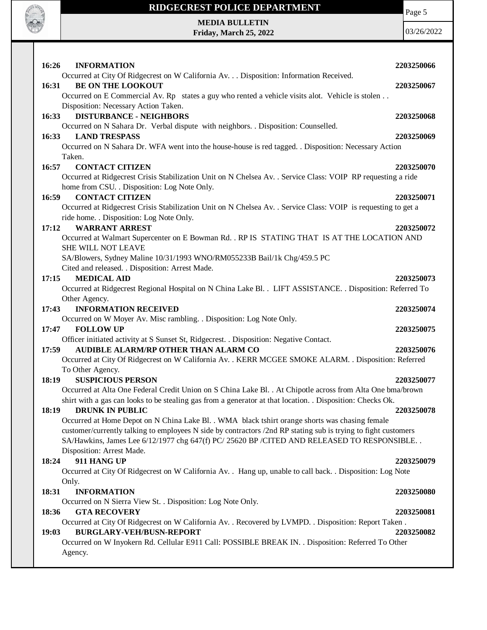

**MEDIA BULLETIN Friday, March 25, 2022** Page 5

| 16:26<br><b>INFORMATION</b>                                                                                                                                                                                      | 2203250066 |
|------------------------------------------------------------------------------------------------------------------------------------------------------------------------------------------------------------------|------------|
| Occurred at City Of Ridgecrest on W California Av. Disposition: Information Received.                                                                                                                            |            |
| <b>BE ON THE LOOKOUT</b><br>16:31                                                                                                                                                                                | 2203250067 |
| Occurred on E Commercial Av. Rp states a guy who rented a vehicle visits alot. Vehicle is stolen                                                                                                                 |            |
| Disposition: Necessary Action Taken.                                                                                                                                                                             |            |
| <b>DISTURBANCE - NEIGHBORS</b><br>16:33                                                                                                                                                                          | 2203250068 |
| Occurred on N Sahara Dr. Verbal dispute with neighbors. . Disposition: Counselled.<br>16:33 LAND TRESPASS                                                                                                        |            |
| Occurred on N Sahara Dr. WFA went into the house-house is red tagged. . Disposition: Necessary Action                                                                                                            | 2203250069 |
| Taken.                                                                                                                                                                                                           |            |
| 16:57<br><b>CONTACT CITIZEN</b>                                                                                                                                                                                  | 2203250070 |
| Occurred at Ridgecrest Crisis Stabilization Unit on N Chelsea Av. . Service Class: VOIP RP requesting a ride                                                                                                     |            |
| home from CSU. . Disposition: Log Note Only.                                                                                                                                                                     |            |
| <b>CONTACT CITIZEN</b><br>16:59                                                                                                                                                                                  | 2203250071 |
| Occurred at Ridgecrest Crisis Stabilization Unit on N Chelsea Av. . Service Class: VOIP is requesting to get a                                                                                                   |            |
| ride home. . Disposition: Log Note Only.                                                                                                                                                                         |            |
| <b>WARRANT ARREST</b><br>17:12                                                                                                                                                                                   | 2203250072 |
| Occurred at Walmart Supercenter on E Bowman Rd. . RP IS STATING THAT IS AT THE LOCATION AND                                                                                                                      |            |
| SHE WILL NOT LEAVE                                                                                                                                                                                               |            |
| SA/Blowers, Sydney Maline 10/31/1993 WNO/RM055233B Bail/1k Chg/459.5 PC                                                                                                                                          |            |
| Cited and released. . Disposition: Arrest Made.<br><b>MEDICAL AID</b>                                                                                                                                            |            |
| 17:15<br>Occurred at Ridgecrest Regional Hospital on N China Lake Bl. . LIFT ASSISTANCE. . Disposition: Referred To                                                                                              | 2203250073 |
| Other Agency.                                                                                                                                                                                                    |            |
| <b>INFORMATION RECEIVED</b><br>17:43                                                                                                                                                                             | 2203250074 |
| Occurred on W Moyer Av. Misc rambling. . Disposition: Log Note Only.                                                                                                                                             |            |
| <b>FOLLOW UP</b><br>17:47                                                                                                                                                                                        | 2203250075 |
| Officer initiated activity at S Sunset St, Ridgecrest. . Disposition: Negative Contact.                                                                                                                          |            |
| AUDIBLE ALARM/RP OTHER THAN ALARM CO<br>17:59                                                                                                                                                                    | 2203250076 |
| Occurred at City Of Ridgecrest on W California Av. . KERR MCGEE SMOKE ALARM. . Disposition: Referred                                                                                                             |            |
| To Other Agency.                                                                                                                                                                                                 |            |
| <b>SUSPICIOUS PERSON</b><br>18:19                                                                                                                                                                                | 2203250077 |
| Occurred at Alta One Federal Credit Union on S China Lake Bl. . At Chipotle across from Alta One bma/brown                                                                                                       |            |
| shirt with a gas can looks to be stealing gas from a generator at that location. . Disposition: Checks Ok.                                                                                                       |            |
| <b>DRUNK IN PUBLIC</b><br>18:19                                                                                                                                                                                  | 2203250078 |
| Occurred at Home Depot on N China Lake Bl. . WMA black tshirt orange shorts was chasing female<br>customer/currently talking to employees N side by contractors /2nd RP stating sub is trying to fight customers |            |
| SA/Hawkins, James Lee 6/12/1977 chg 647(f) PC/ 25620 BP / CITED AND RELEASED TO RESPONSIBLE                                                                                                                      |            |
| Disposition: Arrest Made.                                                                                                                                                                                        |            |
| 911 HANG UP<br>18:24                                                                                                                                                                                             | 2203250079 |
| Occurred at City Of Ridgecrest on W California Av. . Hang up, unable to call back. . Disposition: Log Note                                                                                                       |            |
| Only.                                                                                                                                                                                                            |            |
| <b>INFORMATION</b><br>18:31                                                                                                                                                                                      | 2203250080 |
| Occurred on N Sierra View St. . Disposition: Log Note Only.                                                                                                                                                      |            |
| <b>GTA RECOVERY</b><br>18:36                                                                                                                                                                                     | 2203250081 |
| Occurred at City Of Ridgecrest on W California Av. . Recovered by LVMPD. . Disposition: Report Taken.                                                                                                            |            |
| 19:03<br><b>BURGLARY-VEH/BUSN-REPORT</b>                                                                                                                                                                         | 2203250082 |
| Occurred on W Inyokern Rd. Cellular E911 Call: POSSIBLE BREAK IN. . Disposition: Referred To Other                                                                                                               |            |
| Agency.                                                                                                                                                                                                          |            |
|                                                                                                                                                                                                                  |            |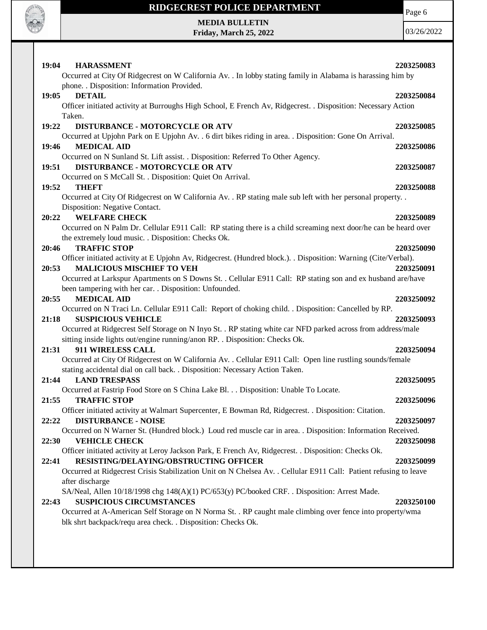

**MEDIA BULLETIN Friday, March 25, 2022** Page 6

| 19:04<br><b>HARASSMENT</b><br>Occurred at City Of Ridgecrest on W California Av. . In lobby stating family in Alabama is harassing him by                                                 | 2203250083 |
|-------------------------------------------------------------------------------------------------------------------------------------------------------------------------------------------|------------|
| phone. . Disposition: Information Provided.                                                                                                                                               |            |
| <b>DETAIL</b><br>19:05<br>Officer initiated activity at Burroughs High School, E French Av, Ridgecrest. . Disposition: Necessary Action                                                   | 2203250084 |
| Taken.                                                                                                                                                                                    |            |
| 19:22<br>DISTURBANCE - MOTORCYCLE OR ATV                                                                                                                                                  | 2203250085 |
| Occurred at Upjohn Park on E Upjohn Av. . 6 dirt bikes riding in area. . Disposition: Gone On Arrival.                                                                                    |            |
| 19:46<br><b>MEDICAL AID</b>                                                                                                                                                               | 2203250086 |
| Occurred on N Sunland St. Lift assist. . Disposition: Referred To Other Agency.<br><b>DISTURBANCE - MOTORCYCLE OR ATV</b><br>19:51                                                        |            |
| Occurred on S McCall St. . Disposition: Quiet On Arrival.                                                                                                                                 | 2203250087 |
| 19:52<br><b>THEFT</b>                                                                                                                                                                     | 2203250088 |
| Occurred at City Of Ridgecrest on W California Av. . RP stating male sub left with her personal property. .                                                                               |            |
| Disposition: Negative Contact.                                                                                                                                                            |            |
| 20:22<br><b>WELFARE CHECK</b>                                                                                                                                                             | 2203250089 |
| Occurred on N Palm Dr. Cellular E911 Call: RP stating there is a child screaming next door/he can be heard over<br>the extremely loud music. . Disposition: Checks Ok.                    |            |
| <b>TRAFFIC STOP</b><br>20:46                                                                                                                                                              | 2203250090 |
| Officer initiated activity at E Upjohn Av, Ridgecrest. (Hundred block.). Disposition: Warning (Cite/Verbal).                                                                              |            |
| <b>MALICIOUS MISCHIEF TO VEH</b><br>20:53                                                                                                                                                 | 2203250091 |
| Occurred at Larkspur Apartments on S Downs St. . Cellular E911 Call: RP stating son and ex husband are/have                                                                               |            |
| been tampering with her car. . Disposition: Unfounded.<br><b>MEDICAL AID</b>                                                                                                              |            |
| 20:55<br>Occurred on N Traci Ln. Cellular E911 Call: Report of choking child. . Disposition: Cancelled by RP.                                                                             | 2203250092 |
| <b>SUSPICIOUS VEHICLE</b><br>21:18                                                                                                                                                        | 2203250093 |
| Occurred at Ridgecrest Self Storage on N Inyo St. . RP stating white car NFD parked across from address/male                                                                              |            |
| sitting inside lights out/engine running/anon RP. . Disposition: Checks Ok.                                                                                                               |            |
| 21:31<br>911 WIRELESS CALL                                                                                                                                                                | 2203250094 |
| Occurred at City Of Ridgecrest on W California Av. . Cellular E911 Call: Open line rustling sounds/female<br>stating accidental dial on call back. . Disposition: Necessary Action Taken. |            |
| <b>LAND TRESPASS</b><br>21:44                                                                                                                                                             | 2203250095 |
| Occurred at Fastrip Food Store on S China Lake Bl. Disposition: Unable To Locate.                                                                                                         |            |
| 21:55<br><b>TRAFFIC STOP</b>                                                                                                                                                              | 2203250096 |
| Officer initiated activity at Walmart Supercenter, E Bowman Rd, Ridgecrest. . Disposition: Citation.                                                                                      |            |
| <b>DISTURBANCE - NOISE</b><br>22:22<br>Occurred on N Warner St. (Hundred block.) Loud red muscle car in area. . Disposition: Information Received.                                        | 2203250097 |
| 22:30<br><b>VEHICLE CHECK</b>                                                                                                                                                             | 2203250098 |
| Officer initiated activity at Leroy Jackson Park, E French Av, Ridgecrest. . Disposition: Checks Ok.                                                                                      |            |
| RESISTING/DELAYING/OBSTRUCTING OFFICER<br>22:41                                                                                                                                           | 2203250099 |
| Occurred at Ridgecrest Crisis Stabilization Unit on N Chelsea Av. . Cellular E911 Call: Patient refusing to leave                                                                         |            |
| after discharge                                                                                                                                                                           |            |
| SA/Neal, Allen 10/18/1998 chg 148(A)(1) PC/653(y) PC/booked CRF. . Disposition: Arrest Made.<br><b>SUSPICIOUS CIRCUMSTANCES</b><br>22:43                                                  | 2203250100 |
| Occurred at A-American Self Storage on N Norma St. . RP caught male climbing over fence into property/wma                                                                                 |            |
| blk shrt backpack/requ area check. . Disposition: Checks Ok.                                                                                                                              |            |
|                                                                                                                                                                                           |            |
|                                                                                                                                                                                           |            |